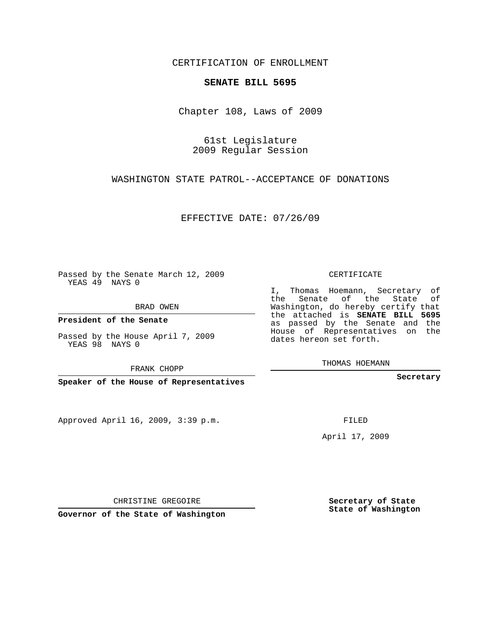## CERTIFICATION OF ENROLLMENT

## **SENATE BILL 5695**

Chapter 108, Laws of 2009

61st Legislature 2009 Regular Session

WASHINGTON STATE PATROL--ACCEPTANCE OF DONATIONS

EFFECTIVE DATE: 07/26/09

Passed by the Senate March 12, 2009 YEAS 49 NAYS 0

BRAD OWEN

**President of the Senate**

Passed by the House April 7, 2009 YEAS 98 NAYS 0

FRANK CHOPP

**Speaker of the House of Representatives**

Approved April 16, 2009, 3:39 p.m.

CERTIFICATE

I, Thomas Hoemann, Secretary of the Senate of the State of Washington, do hereby certify that the attached is **SENATE BILL 5695** as passed by the Senate and the House of Representatives on the dates hereon set forth.

THOMAS HOEMANN

**Secretary**

FILED

April 17, 2009

CHRISTINE GREGOIRE

**Governor of the State of Washington**

**Secretary of State State of Washington**